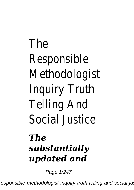## The Responsible Methodologist Inquiry Truth Telling And Social Justice

## *The substantially updated and*

Page 1/247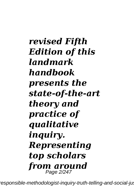*revised Fifth Edition of this landmark handbook presents the state-of-the-art theory and practice of qualitative inquiry. Representing top scholars from around* Page 2/247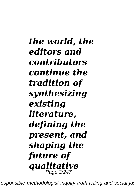*the world, the editors and contributors continue the tradition of synthesizing existing literature, defining the present, and shaping the future of qualitative* Page 3/247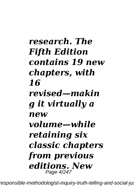## *research. The Fifth Edition contains 19 new chapters, with 16 revised—makin g it virtually a new volume—while retaining six classic chapters from previous editions. New* Page 4/247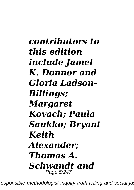*contributors to this edition include Jamel K. Donnor and Gloria Ladson-Billings; Margaret Kovach; Paula Saukko; Bryant Keith Alexander; Thomas A. Schwandt and* Page 5/247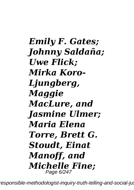*Emily F. Gates; Johnny Saldaña; Uwe Flick; Mirka Koro-Ljungberg, Maggie MacLure, and Jasmine Ulmer; Maria Elena Torre, Brett G. Stoudt, Einat Manoff, and Michelle Fine;* Page 6/247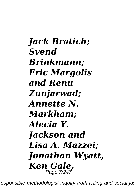*Jack Bratich; Svend Brinkmann; Eric Margolis and Renu Zunjarwad; Annette N. Markham; Alecia Y. Jackson and Lisa A. Mazzei; Jonathan Wyatt, Ken Gale,* Page 7/247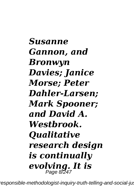*Susanne Gannon, and Bronwyn Davies; Janice Morse; Peter Dahler-Larsen; Mark Spooner; and David A. Westbrook. Qualitative research design is continually evolving. It is* Page 8/247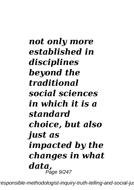*not only more established in disciplines beyond the traditional social sciences in which it is a standard choice, but also just as impacted by the changes in what data,* Page 9/247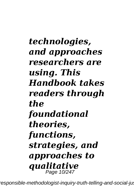*technologies, and approaches researchers are using. This Handbook takes readers through the foundational theories, functions, strategies, and approaches to qualitative* Page 10/247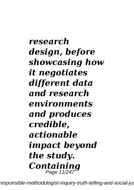*research design, before showcasing how it negotiates different data and research environments and produces credible, actionable impact beyond the study. Containing* Page 11/247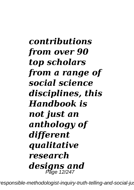*contributions from over 90 top scholars from a range of social science disciplines, this Handbook is not just an anthology of different qualitative research designs and* Page 12/247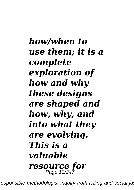*how/when to use them; it is a complete exploration of how and why these designs are shaped and how, why, and into what they are evolving. This is a valuable resource for* Page 13/247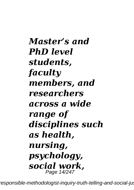*Master's and PhD level students, faculty members, and researchers across a wide range of disciplines such as health, nursing, psychology, social work,* Page 14/247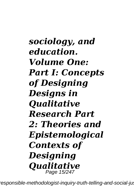*sociology, and education. Volume One: Part I: Concepts of Designing Designs in Qualitative Research Part 2: Theories and Epistemological Contexts of Designing Qualitative* Page 15/247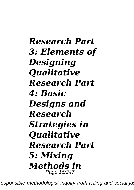*Research Part 3: Elements of Designing Qualitative Research Part 4: Basic Designs and Research Strategies in Qualitative Research Part 5: Mixing Methods in* Page 16/247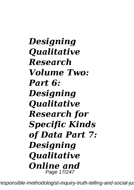*Designing Qualitative Research Volume Two: Part 6: Designing Qualitative Research for Specific Kinds of Data Part 7: Designing Qualitative Online and* Page 17/247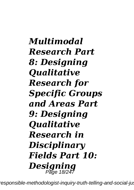*Multimodal Research Part 8: Designing Qualitative Research for Specific Groups and Areas Part 9: Designing Qualitative Research in Disciplinary Fields Part 10: Designing* Page 18/247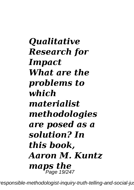*Qualitative Research for Impact What are the problems to which materialist methodologies are posed as a solution? In this book, Aaron M. Kuntz maps the* Page 19/247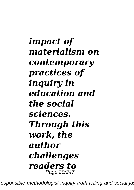*impact of materialism on contemporary practices of inquiry in education and the social sciences. Through this work, the author challenges readers to* Page 20/247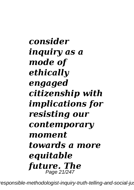*consider inquiry as a mode of ethically engaged citizenship with implications for resisting our contemporary moment towards a more equitable future. The* Page 21/247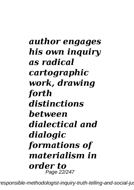*author engages his own inquiry as radical cartographic work, drawing forth distinctions between dialectical and dialogic formations of materialism in order to* Page 22/247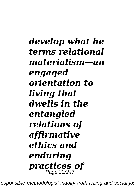*develop what he terms relational materialism—an engaged orientation to living that dwells in the entangled relations of affirmative ethics and enduring practices of* Page 23/247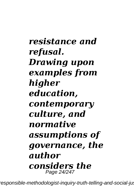*resistance and refusal. Drawing upon examples from higher education, contemporary culture, and normative assumptions of governance, the author considers the* Page 24/247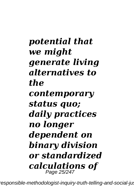*potential that we might generate living alternatives to the contemporary status quo; daily practices no longer dependent on binary division or standardized calculations of* Page 25/247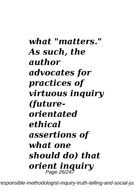*what "matters." As such, the author advocates for practices of virtuous inquiry (futureorientated ethical assertions of what one should do) that orient inquiry* Page 26/247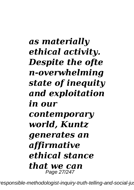## *as materially ethical activity. Despite the ofte n-overwhelming state of inequity and exploitation in our contemporary world, Kuntz generates an affirmative ethical stance that we can* Page 27/247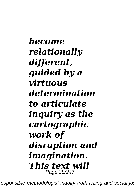*become relationally different, guided by a virtuous determination to articulate inquiry as the cartographic work of disruption and imagination. This text will* Page 28/247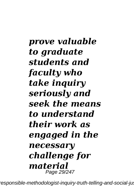*prove valuable to graduate students and faculty who take inquiry seriously and seek the means to understand their work as engaged in the necessary challenge for material* Page 29/247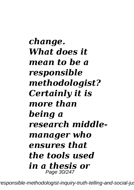*change. What does it mean to be a responsible methodologist? Certainly it is more than being a research middlemanager who ensures that the tools used in a thesis or* Page 30/247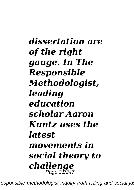*dissertation are of the right gauge. In The Responsible Methodologist, leading education scholar Aaron Kuntz uses the latest movements in social theory to challenge* Page 31/247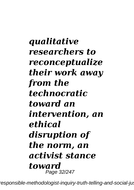*qualitative researchers to reconceptualize their work away from the technocratic toward an intervention, an ethical disruption of the norm, an activist stance toward* Page 32/247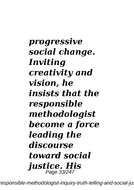*progressive social change. Inviting creativity and vision, he insists that the responsible methodologist become a force leading the discourse toward social justice. His* Page 33/247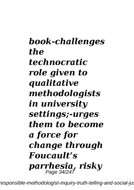*book-challenges the technocratic role given to qualitative methodologists in university settings;-urges them to become a force for change through Foucault's parrhesia, risky*  Page 34/247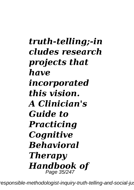*truth-telling;-in cludes research projects that have incorporated this vision. A Clinician's Guide to Practicing Cognitive Behavioral Therapy Handbook of* Page 35/247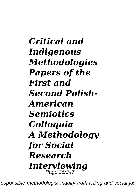*Critical and Indigenous Methodologies Papers of the First and Second Polish-American Semiotics Colloquia A Methodology for Social Research Interviewing* Page 36/247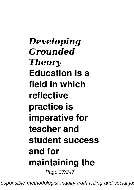*Developing Grounded Theory* **Education is a field in which reflective practice is imperative for teacher and student success and for maintaining the** Page 37/247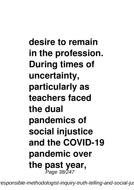**desire to remain in the profession. During times of uncertainty, particularly as teachers faced the dual pandemics of social injustice and the COVID-19 pandemic over the past year,** Page 38/247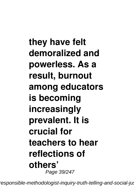**they have felt demoralized and powerless. As a result, burnout among educators is becoming increasingly prevalent. It is crucial for teachers to hear reflections of others'** Page 39/247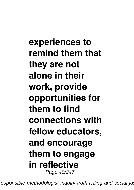**experiences to remind them that they are not alone in their work, provide opportunities for them to find connections with fellow educators, and encourage them to engage in reflective** Page 40/247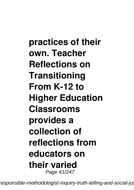**practices of their own. Teacher Reflections on Transitioning From K-12 to Higher Education Classrooms provides a collection of reflections from educators on their varied** Page 41/247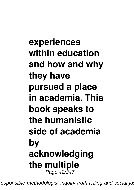## **experiences within education and how and why they have pursued a place in academia. This book speaks to the humanistic side of academia by acknowledging the multiple** Page 42/247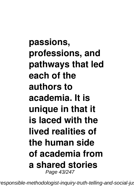**passions, professions, and pathways that led each of the authors to academia. It is unique in that it is laced with the lived realities of the human side of academia from a shared stories** Page 43/247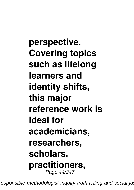**perspective. Covering topics such as lifelong learners and identity shifts, this major reference work is ideal for academicians, researchers, scholars, practitioners,** Page 44/247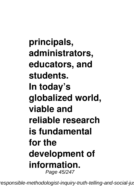**principals, administrators, educators, and students. In today's globalized world, viable and reliable research is fundamental for the development of information.** Page 45/247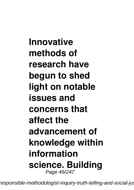**Innovative methods of research have begun to shed light on notable issues and concerns that affect the advancement of knowledge within information science. Building** Page 46/247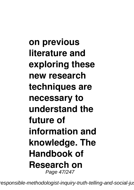**on previous literature and exploring these new research techniques are necessary to understand the future of information and knowledge. The Handbook of Research on** Page 47/247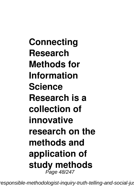**Connecting Research Methods for Information Science Research is a collection of innovative research on the methods and application of study methods** Page 48/247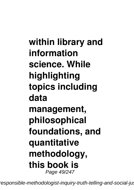**within library and information science. While highlighting topics including data management, philosophical foundations, and quantitative methodology, this book is** Page 49/247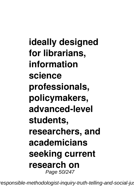**ideally designed for librarians, information science professionals, policymakers, advanced-level students, researchers, and academicians seeking current research on** Page 50/247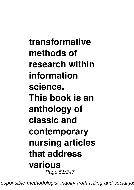**transformative methods of research within information science. This book is an anthology of classic and contemporary nursing articles that address various** Page 51/247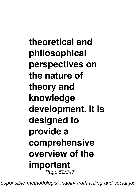**theoretical and philosophical perspectives on the nature of theory and knowledge development. It is designed to provide a comprehensive overview of the important** Page 52/247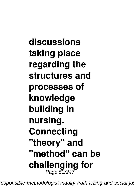**discussions taking place regarding the structures and processes of knowledge building in nursing. Connecting "theory" and "method" can be challenging for** Page 53/247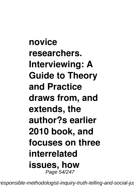**novice researchers. Interviewing: A Guide to Theory and Practice draws from, and extends, the author?s earlier 2010 book, and focuses on three interrelated issues, how** Page 54/247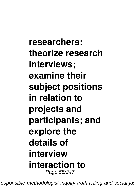**researchers: theorize research interviews; examine their subject positions in relation to projects and participants; and explore the details of interview interaction to** Page 55/247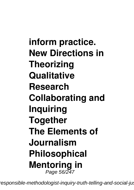**inform practice. New Directions in Theorizing Qualitative Research Collaborating and Inquiring Together The Elements of Journalism Philosophical Mentoring in** Page 56/247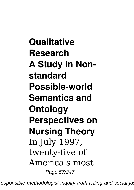**Qualitative Research A Study in Nonstandard Possible-world Semantics and Ontology Perspectives on Nursing Theory** In July 1997, twenty-five of America's most Page 57/247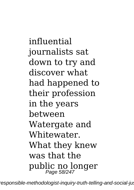influential journalists sat down to try and discover what had happened to their profession in the years between Watergate and Whitewater. What they knew was that the public no longer Page 58/247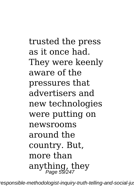trusted the press as it once had. They were keenly aware of the pressures that advertisers and new technologies were putting on newsrooms around the country. But, more than anything, they Page 59/247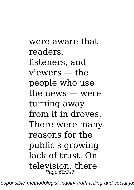were aware that readers, listeners, and viewers — the people who use the news — were turning away from it in droves. There were many reasons for the public's growing lack of trust. On television, there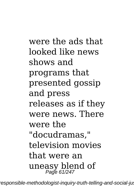were the ads that looked like news shows and programs that presented gossip and press releases as if they were news. There were the "docudramas," television movies that were an uneasy blend of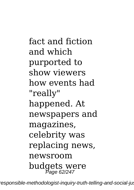fact and fiction and which purported to show viewers how events had "really" happened. At newspapers and magazines, celebrity was replacing news, newsroom budgets were Page 62/247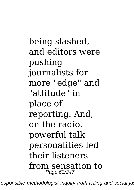being slashed, and editors were pushing journalists for more "edge" and "attitude" in place of reporting. And, on the radio, powerful talk personalities led their listeners from sensation to Page 63/247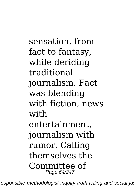sensation, from fact to fantasy, while deriding traditional journalism. Fact was blending with fiction, news with entertainment, journalism with rumor. Calling themselves the Committee of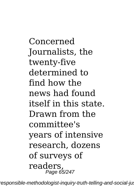Concerned Journalists, the twenty-five determined to find how the news had found itself in this state. Drawn from the committee's years of intensive research, dozens of surveys of readers, Page 65/247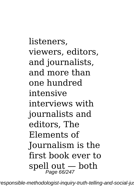listeners, viewers, editors, and journalists, and more than one hundred intensive interviews with journalists and editors, The Elements of Journalism is the first book ever to spell out — both Page 66/247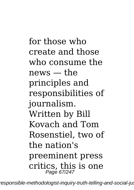for those who create and those who consume the news — the principles and responsibilities of journalism. Written by Bill Kovach and Tom Rosenstiel, two of the nation's preeminent press critics, this is one Page 67/247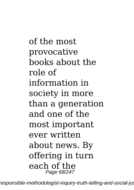of the most provocative books about the role of information in society in more than a generation and one of the most important ever written about news. By offering in turn each of the Page 68/247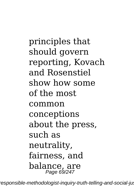principles that should govern reporting, Kovach and Rosenstiel show how some of the most common conceptions about the press, such as neutrality, fairness, and balance, are Page 69/247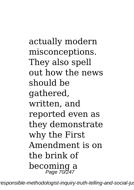actually modern misconceptions. They also spell out how the news should be gathered, written, and reported even as they demonstrate why the First Amendment is on the brink of becoming a Page 70/247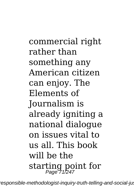commercial right rather than something any American citizen can enjoy. The Elements of Journalism is already igniting a national dialogue on issues vital to us all. This book will be the starting point for Page 71/247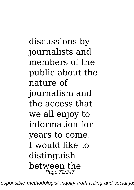discussions by journalists and members of the public about the nature of journalism and the access that we all enjoy to information for years to come. I would like to distinguish between the Page 72/247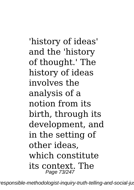'history of ideas' and the 'history of thought.' The history of ideas involves the analysis of a notion from its birth, through its development, and in the setting of other ideas, which constitute its context. The Page 73/247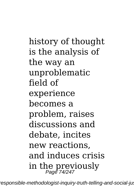history of thought is the analysis of the way an unproblematic field of experience becomes a problem, raises discussions and debate, incites new reactions, and induces crisis in the previously Page 74/247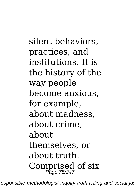silent behaviors, practices, and institutions. It is the history of the way people become anxious, for example, about madness, about crime, about themselves, or about truth. Comprised of six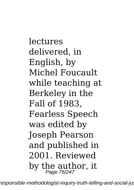lectures delivered, in English, by Michel Foucault while teaching at Berkeley in the Fall of 1983, Fearless Speech was edited by Joseph Pearson and published in 2001. Reviewed by the author, it Page 76/247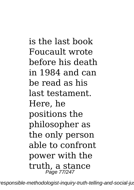is the last book Foucault wrote before his death in 1984 and can be read as his last testament. Here, he positions the philosopher as the only person able to confront power with the truth, a stance Page 77/247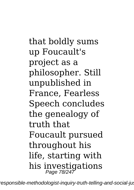that boldly sums up Foucault's project as a philosopher. Still unpublished in France, Fearless Speech concludes the genealogy of truth that Foucault pursued throughout his life, starting with his investigations Page 78/247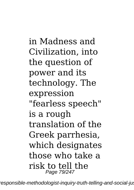in Madness and Civilization, into the question of power and its technology. The expression "fearless speech" is a rough translation of the Greek parrhesia, which designates those who take a risk to tell the Page 79/247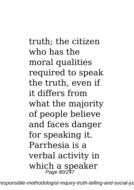truth; the citizen who has the moral qualities required to speak the truth, even if it differs from what the majority of people believe and faces danger for speaking it. Parrhesia is a verbal activity in which a speaker Page 80/247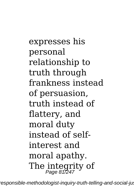expresses his personal relationship to truth through frankness instead of persuasion, truth instead of flattery, and moral duty instead of selfinterest and moral apathy. The integrity of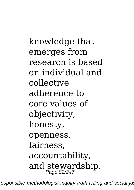knowledge that emerges from research is based on individual and collective adherence to core values of objectivity, honesty, openness, fairness, accountability, and stewardship.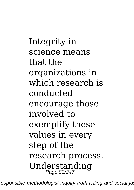Integrity in science means that the organizations in which research is conducted encourage those involved to exemplify these values in every step of the research process. Understanding<br>Page 83/247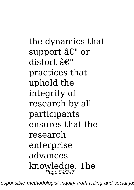the dynamics that support â€" or distort â€" practices that uphold the integrity of research by all participants ensures that the research enterprise advances knowledge. The<br>Page 84/247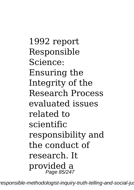1992 report Responsible Science: Ensuring the Integrity of the Research Process evaluated issues related to scientific responsibility and the conduct of research. It provided a Page 85/247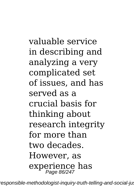valuable service in describing and analyzing a very complicated set of issues, and has served as a crucial basis for thinking about research integrity for more than two decades. However, as experience has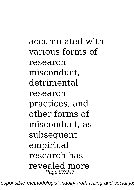accumulated with various forms of research misconduct, detrimental research practices, and other forms of misconduct, as subsequent empirical research has revealed more Page 87/247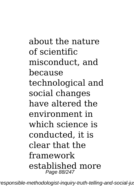about the nature of scientific misconduct, and because technological and social changes have altered the environment in which science is conducted, it is clear that the framework established more Page 88/247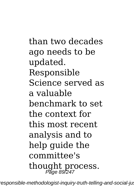than two decades ago needs to be updated. Responsible Science served as a valuable benchmark to set the context for this most recent analysis and to help guide the committee's thought process.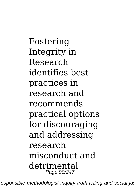Fostering Integrity in Research identifies best practices in research and recommends practical options for discouraging and addressing research misconduct and detrimental Page 90/247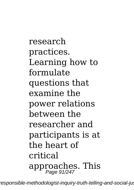research practices. Learning how to formulate questions that examine the power relations between the researcher and participants is at the heart of critical approaches. This Page 91/247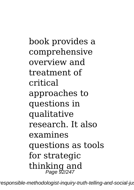book provides a comprehensive overview and treatment of critical approaches to questions in qualitative research. It also examines questions as tools for strategic thinking and Page 92/247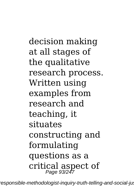decision making at all stages of the qualitative research process. Written using examples from research and teaching, it situates constructing and formulating questions as a critical aspect of Page 93/247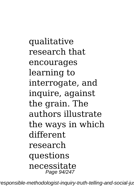qualitative research that encourages learning to interrogate, and inquire, against the grain. The authors illustrate the ways in which different research questions necessitate Page 94/247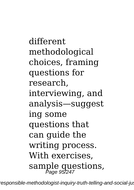different methodological choices, framing questions for research, interviewing, and analysis—suggest ing some questions that can guide the writing process. With exercises, sample questions,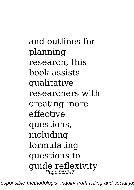and outlines for planning research, this book assists qualitative researchers with creating more effective questions, including formulating questions to guide reflexivity Page 96/247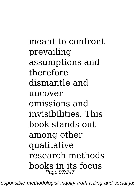meant to confront prevailing assumptions and therefore dismantle and uncover omissions and invisibilities. This book stands out among other qualitative research methods books in its focus Page 97/247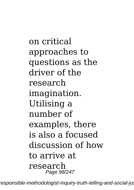on critical approaches to questions as the driver of the research imagination. Utilising a number of examples, there is also a focused discussion of how to arrive at research Page 98/247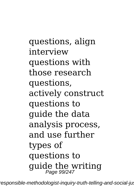questions, align interview questions with those research questions, actively construct questions to guide the data analysis process, and use further types of questions to guide the writing Page 99/247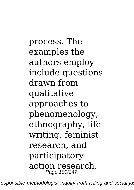process. The examples the authors employ include questions drawn from qualitative approaches to phenomenology, ethnography, life writing, feminist research, and participatory action research. Page 100/247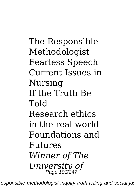The Responsible Methodologist Fearless Speech Current Issues in Nursing If the Truth Be Told Research ethics in the real world Foundations and Futures *Winner of The University of* Page 101/247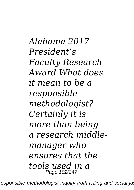*Alabama 2017 President's Faculty Research Award What does it mean to be a responsible methodologist? Certainly it is more than being a research middlemanager who ensures that the tools used in a* Page 102/247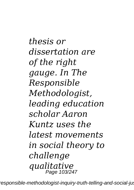*thesis or dissertation are of the right gauge. In The Responsible Methodologist, leading education scholar Aaron Kuntz uses the latest movements in social theory to challenge qualitative* Page 103/247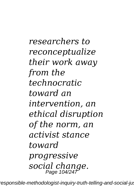*researchers to reconceptualize their work away from the technocratic toward an intervention, an ethical disruption of the norm, an activist stance toward progressive social change.* Page 104/247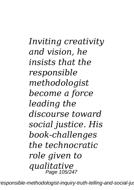*Inviting creativity and vision, he insists that the responsible methodologist become a force leading the discourse toward social justice. His book-challenges the technocratic role given to qualitative* Page 105/247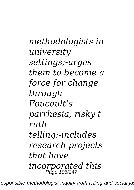*methodologists in university settings;-urges them to become a force for change through Foucault's parrhesia, risky t ruthtelling;-includes research projects that have incorporated this* Page 106/247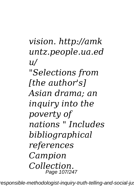*vision. http://amk untz.people.ua.ed u/ "Selections from [the author's] Asian drama; an inquiry into the poverty of nations " Includes bibliographical references Campion Collection.* Page 107/247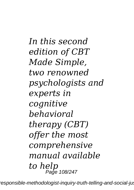*In this second edition of CBT Made Simple, two renowned psychologists and experts in cognitive behavioral therapy (CBT) offer the most comprehensive manual available to help* Page 108/247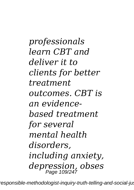*professionals learn CBT and deliver it to clients for better treatment outcomes. CBT is an evidencebased treatment for several mental health disorders, including anxiety, depression, obses* Page 109/247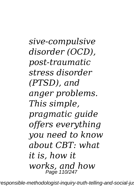*sive-compulsive disorder (OCD), post-traumatic stress disorder (PTSD), and anger problems. This simple, pragmatic guide offers everything you need to know about CBT: what it is, how it works, and how* Page 110/247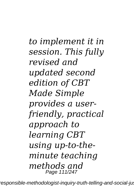*to implement it in session. This fully revised and updated second edition of CBT Made Simple provides a userfriendly, practical approach to learning CBT using up-to-theminute teaching methods and* Page 111/247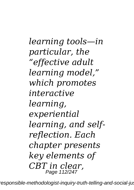*learning tools—in particular, the "effective adult learning model," which promotes interactive learning, experiential learning, and selfreflection. Each chapter presents key elements of CBT in clear,* Page 112/247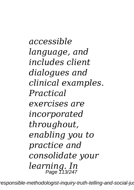*accessible language, and includes client dialogues and clinical examples. Practical exercises are incorporated throughout, enabling you to practice and consolidate your learning. In* Page 113/247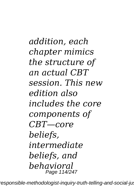*addition, each chapter mimics the structure of an actual CBT session. This new edition also includes the core components of CBT—core beliefs, intermediate beliefs, and behavioral* Page 114/247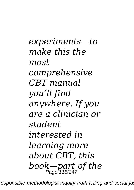*experiments—to make this the most comprehensive CBT manual you'll find anywhere. If you are a clinician or student interested in learning more about CBT, this book—part of the* Page 115/247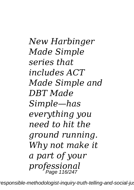*New Harbinger Made Simple series that includes ACT Made Simple and DBT Made Simple—has everything you need to hit the ground running. Why not make it a part of your professional* Page 116/247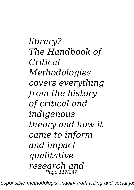*library? The Handbook of Critical Methodologies covers everything from the history of critical and indigenous theory and how it came to inform and impact qualitative research and* Page 117/247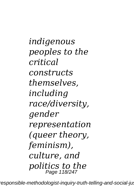*indigenous peoples to the critical constructs themselves, including race/diversity, gender representation (queer theory, feminism), culture, and politics to the* Page 118/247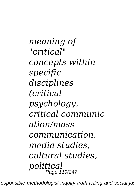*meaning of "critical" concepts within specific disciplines (critical psychology, critical communic ation/mass communication, media studies, cultural studies, political* Page 119/247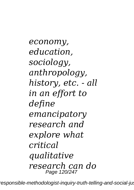*economy, education, sociology, anthropology, history, etc. - all in an effort to define emancipatory research and explore what critical qualitative research can do* Page 120/247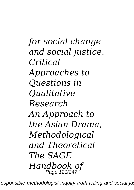*for social change and social justice. Critical Approaches to Questions in Qualitative Research An Approach to the Asian Drama, Methodological and Theoretical The SAGE Handbook of* Page 121/247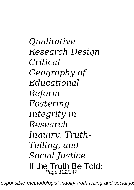*Qualitative Research Design Critical Geography of Educational Reform Fostering Integrity in Research Inquiry, Truth-Telling, and Social Justice* If the Truth Be Told: Page 122/247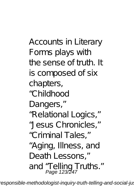Accounts in Literary Forms plays with the sense of truth. It is composed of six chapters, "Childhood Dangers," "Relational Logics," "Jesus Chronicles," "Criminal Tales," "Aging, Illness, and Death Lessons," and "Telling Truths."<br>Page 123/247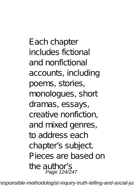Each chapter includes fictional and nonfictional accounts, including poems, stories, monologues, short dramas, essays, creative nonfiction, and mixed genres, to address each chapter's subject. Pieces are based on the author's Page 124/247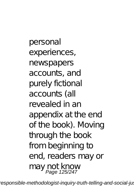personal experiences, newspapers accounts, and purely fictional accounts (all revealed in an appendix at the end of the book). Moving through the book from beginning to end, readers may or may not know Page 125/247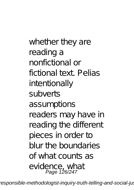whether they are reading a nonfictional or fictional text. Pelias intentionally subverts assumptions readers may have in reading the different pieces in order to blur the boundaries of what counts as evidence, what Page 126/247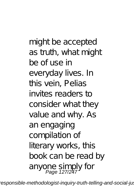might be accepted as truth, what might be of use in everyday lives. In this vein, Pelias invites readers to consider what they value and why. As an engaging compilation of literary works, this book can be read by anyone simply for<br>Page 127/247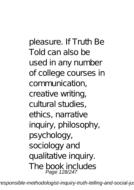pleasure. If Truth Be Told can also be used in any number of college courses in communication, creative writing, cultural studies, ethics, narrative inquiry, philosophy, psychology, sociology and qualitative inquiry. The book includes Page 128/247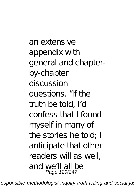an extensive appendix with general and chapterby-chapter discussion questions. "If the truth be told, I'd confess that I found myself in many of the stories he told; I anticipate that other readers will as well, and we'll all be Page 129/247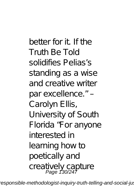better for it. If the Truth Be Told solidifies Pelias's standing as a wise and creative writer par excellence." – Carolyn Ellis, University of South Florida "For anyone interested in learning how to poetically and creatively capture<br>Page 130/247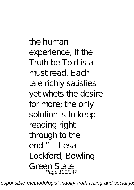the human experience, If the Truth be Told is a must read. Each tale richly satisfies yet whets the desire for more; the only solution is to keep reading right through to the end."– Lesa Lockford, Bowling Green State Page 131/247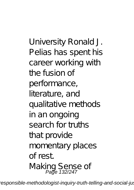University Ronald J. Pelias has spent his career working with the fusion of performance, literature, and qualitative methods in an ongoing search for truths that provide momentary places of rest. Making Sense of<br>Page 132/247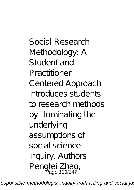Social Research Methodology: A Student and Practitioner Centered Approach introduces students to research methods by illuminating the underlying assumptions of social science inquiry. Authors Pengfei Zhao,<br>Page 133/247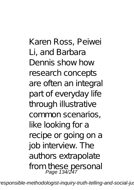Karen Ross, Peiwei Li, and Barbara Dennis show how research concepts are often an integral part of everyday life through illustrative common scenarios, like looking for a recipe or going on a job interview. The authors extrapolate from these personal Page 134/247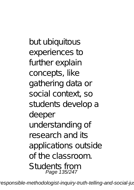but ubiquitous experiences to further explain concepts, like gathering data or social context, so students develop a deeper understanding of research and its applications outside of the classroom. Students from Page 135/247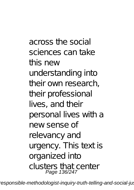across the social sciences can take this new understanding into their own research, their professional lives, and their personal lives with a new sense of relevancy and urgency. This text is organized into clusters that center Page 136/247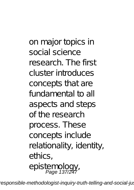on major topics in social science research. The first cluster introduces concepts that are fundamental to all aspects and steps of the research process. These concepts include relationality, identity, ethics. epistemology, Page 137/247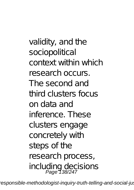validity, and the sociopolitical context within which research occurs. The second and third clusters focus on data and inference. These clusters engage concretely with steps of the research process, including decisions Page 138/247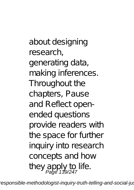about designing research, generating data, making inferences. Throughout the chapters, Pause and Reflect openended questions provide readers with the space for further inquiry into research concepts and how they apply to life.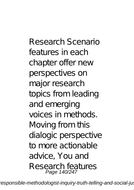Research Scenario features in each chapter offer new perspectives on major research topics from leading and emerging voices in methods. Moving from this dialogic perspective to more actionable advice, You and Research features Page 140/247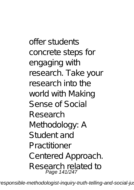offer students concrete steps for engaging with research. Take your research into the world with Making Sense of Social Research Methodology: A Student and Practitioner Centered Approach. Research related to Page 141/247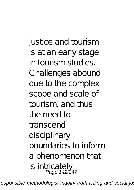justice and tourism is at an early stage in tourism studies. Challenges abound due to the complex scope and scale of tourism, and thus the need to transcend disciplinary boundaries to inform a phenomenon that is intricately<br>Page 142/247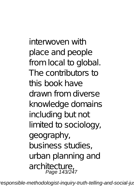interwoven with place and people from local to global. The contributors to this book have drawn from diverse knowledge domains including but not limited to sociology, geography, business studies, urban planning and architecture, Page 143/247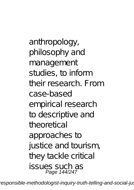anthropology, philosophy and management studies, to inform their research. From case-based empirical research to descriptive and theore tical approaches to justice and tourism, they tackle critical issues such as Page 144/247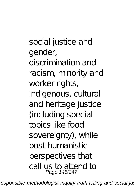social justice and gender, discrimination and racism, minority and worker rights, indigenous, cultural and heritage justice (including special topics like food sovereignty), while post-humanistic perspectives that call us to attend to Page 145/247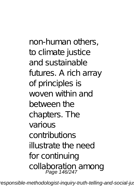non-human others, to climate justice and sustainable futures. A rich array of principles is woven within and between the chapters. The various contributions illustrate the need for continuing collaboration among<br>Page 146/247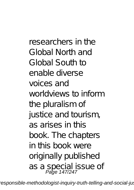researchers in the Global North and Global South to enable diverse voices and worldviews to inform the pluralism of justice and tourism, as arises in this book. The chapters in this book were originally published as a special issue of<br>Page 147/247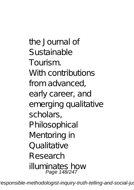the Journal of Sustainable Tourism. With contributions from advanced, early career, and emerging qualitative scholars, Philosophical Mentoring in Qualitative Research illuminates how Page 148/247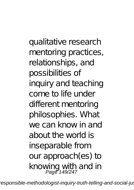qualitative research mentoring practices, relationships, and possibilities of inquiry and teaching come to life under different mentoring philosophies. What we can know in and about the world is inseparable from our approach(es) to knowing with and in<br>Page 149/247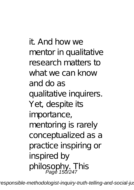it. And how we mentor in qualitative research matters to what we can know and do as qualitative inquirers. Yet, despite its importance, mentoring is rarely conceptualized as a practice inspiring or inspired by philosophy. This<br>Page 150/247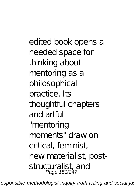edited book opens a needed space for thinking about mentoring as a philosophical practice. Its thoughtful chapters and artful "mentoring moments" draw on critical, feminist, new materialist, poststructuralist, and<br>Page 151/247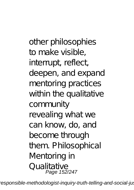other philosophies to make visible, interrupt, reflect, deepen, and expand mentoring practices within the qualitative community revealing what we can know, do, and become through them. Philosophical Mentoring in Qualitative Page 152/247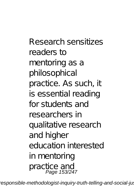Research sensitizes readers to mentoring as a philosophical practice. As such, it is essential reading for students and researchers in qualitative research and higher education interested in mentoring practice and Page 153/247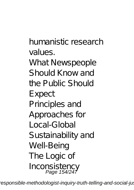humanistic research values. What Newspeople Should Know and the Public Should Expect Principles and Approaches for Local-Global Sustainability and Well-Being The Logic of Inconsistency Page 154/247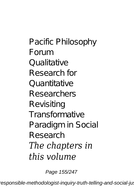Pacific Philosophy Forum Qualitative Research for Quantitative Researchers Revisiting **Transformative** Paradigm in Social Research *The chapters in this volume*

Page 155/247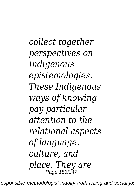*collect together perspectives on Indigenous epistemologies. These Indigenous ways of knowing pay particular attention to the relational aspects of language, culture, and place. They are* Page 156/247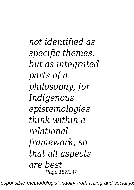*not identified as specific themes, but as integrated parts of a philosophy, for Indigenous epistemologies think within a relational framework, so that all aspects are best* Page 157/247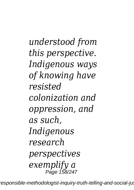*understood from this perspective. Indigenous ways of knowing have resisted colonization and oppression, and as such, Indigenous research perspectives exemplify a* Page 158/247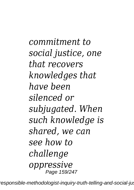*commitment to social justice, one that recovers knowledges that have been silenced or subjugated. When such knowledge is shared, we can see how to challenge oppressive* Page 159/247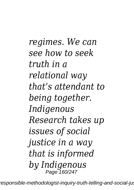*regimes. We can see how to seek truth in a relational way that's attendant to being together. Indigenous Research takes up issues of social justice in a way that is informed by Indigenous* Page 160/247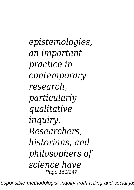*epistemologies, an important practice in contemporary research, particularly qualitative inquiry. Researchers, historians, and philosophers of science have* Page 161/247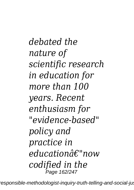*debated the nature of scientific research in education for more than 100 years. Recent enthusiasm for "evidence-based" policy and practice in educationâ€"now codified in the* **,<br>Page 162/247**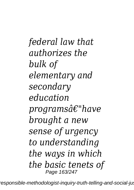*federal law that authorizes the bulk of elementary and secondary education programsâ€"have brought a new sense of urgency to understanding the ways in which the basic tenets of* Page 163/247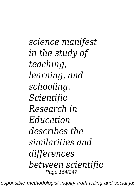*science manifest in the study of teaching, learning, and schooling. Scientific Research in Education describes the similarities and differences between scientific* Page 164/247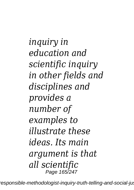*inquiry in education and scientific inquiry in other fields and disciplines and provides a number of examples to illustrate these ideas. Its main argument is that all scientific* Page 165/247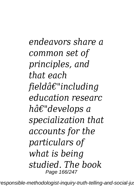*endeavors share a common set of principles, and that each fieldâ€"including education researc hâ€"develops a specialization that accounts for the particulars of what is being studied. The book* Page 166/247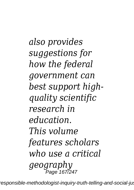*also provides suggestions for how the federal government can best support highquality scientific research in education. This volume features scholars who use a critical geography* Page 167/247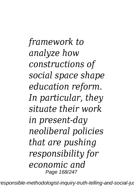*framework to analyze how constructions of social space shape education reform. In particular, they situate their work in present-day neoliberal policies that are pushing responsibility for economic and* Page 168/247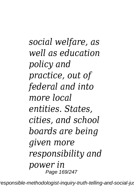*social welfare, as well as education policy and practice, out of federal and into more local entities. States, cities, and school boards are being given more responsibility and power in* Page 169/247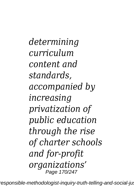*determining curriculum content and standards, accompanied by increasing privatization of public education through the rise of charter schools and for-profit organizations'* Page 170/247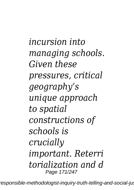*incursion into managing schools. Given these pressures, critical geography's unique approach to spatial constructions of schools is crucially important. Reterri torialization and d* Page 171/247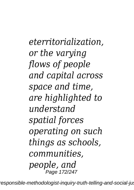*eterritorialization, or the varying flows of people and capital across space and time, are highlighted to understand spatial forces operating on such things as schools, communities, people, and* Page 172/247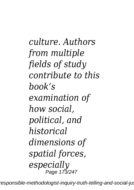*culture. Authors from multiple fields of study contribute to this book's examination of how social, political, and historical dimensions of spatial forces, especially* Page 173/247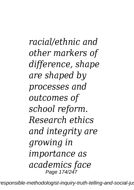*racial/ethnic and other markers of difference, shape are shaped by processes and outcomes of school reform. Research ethics and integrity are growing in importance as academics face* Page 174/247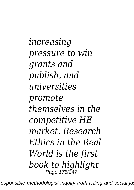*increasing pressure to win grants and publish, and universities promote themselves in the competitive HE market. Research Ethics in the Real World is the first book to highlight* Page 175/247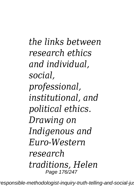*the links between research ethics and individual, social, professional, institutional, and political ethics. Drawing on Indigenous and Euro-Western research traditions, Helen* Page 176/247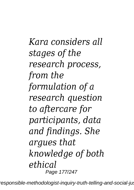*Kara considers all stages of the research process, from the formulation of a research question to aftercare for participants, data and findings. She argues that knowledge of both ethical* Page 177/247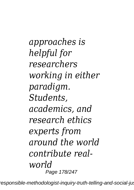*approaches is helpful for researchers working in either paradigm. Students, academics, and research ethics experts from around the world contribute realworld* Page 178/247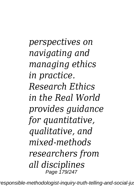*perspectives on navigating and managing ethics in practice. Research Ethics in the Real World provides guidance for quantitative, qualitative, and mixed-methods researchers from all disciplines* Page 179/247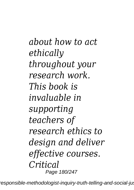*about how to act ethically throughout your research work. This book is invaluable in supporting teachers of research ethics to design and deliver effective courses. Critical* Page 180/247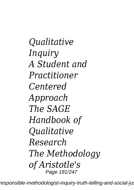*Qualitative Inquiry A Student and Practitioner Centered Approach The SAGE Handbook of Qualitative Research The Methodology of Aristotle's* Page 181/247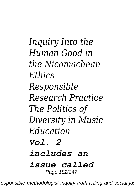*Inquiry Into the Human Good in the Nicomachean Ethics Responsible Research Practice The Politics of Diversity in Music Education Vol. 2 includes an issue called* Page 182/247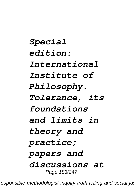*Special edition: International Institute of Philosophy. Tolerance, its foundations and limits in theory and practice; papers and discussions at* Page 183/247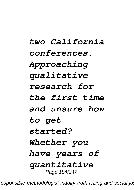# *two California conferences. Approaching qualitative research for the first time and unsure how to get started? Whether you have years of quantitative* Page 184/247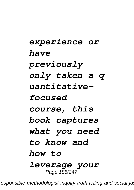*experience or have previously only taken a q uantitativefocused course, this book captures what you need to know and how to leverage your* Page 185/247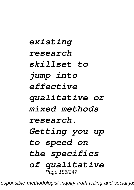*existing research skillset to jump into effective qualitative or mixed methods research. Getting you up to speed on the specifics of qualitative* Page 186/247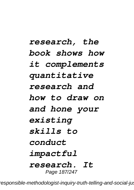*research, the book shows how it complements quantitative research and how to draw on and hone your existing skills to conduct impactful research. It* Page 187/247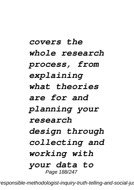# *covers the whole research process, from explaining what theories are for and planning your research design through collecting and working with your data to* Page 188/247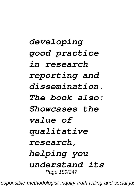*developing good practice in research reporting and dissemination. The book also: Showcases the value of qualitative research, helping you understand its* Page 189/247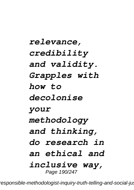*relevance, credibility and validity. Grapples with how to decolonise your methodology and thinking, do research in an ethical and inclusive way,* Page 190/247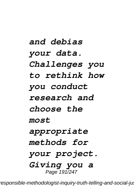# *and debias your data. Challenges you to rethink how you conduct research and choose the most appropriate methods for your project. Giving you a* Page 191/247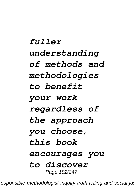*fuller understanding of methods and methodologies to benefit your work regardless of the approach you choose, this book encourages you to discover* Page 192/247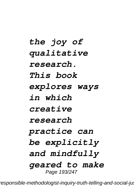*the joy of qualitative research. This book explores ways in which creative research practice can be explicitly and mindfully geared to make* Page 193/247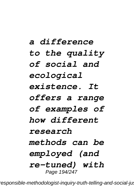# *a difference to the quality of social and ecological existence. It offers a range of examples of how different research methods can be employed (and re-tuned) with* Page 194/247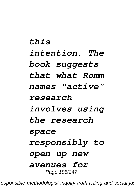# *this intention. The book suggests that what Romm names "active" research involves using the research space responsibly to open up new avenues for* Page 195/247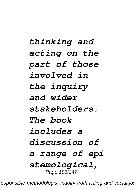# *thinking and acting on the part of those involved in the inquiry and wider stakeholders. The book includes a discussion of a range of epi stemological,* Page 196/247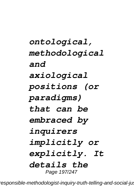*ontological, methodological and axiological positions (or paradigms) that can be embraced by inquirers implicitly or explicitly. It details the* Page 197/247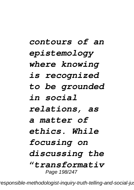# *contours of an epistemology where knowing is recognized to be grounded in social relations, as a matter of ethics. While focusing on discussing the "transformativ* Page 198/247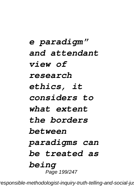*e paradigm" and attendant view of research ethics, it considers to what extent the borders between paradigms can be treated as being* Page 199/247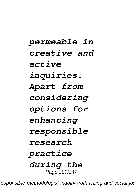*permeable in creative and active inquiries. Apart from considering options for enhancing responsible research practice during the* Page 200/247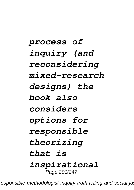*process of inquiry (and reconsidering mixed-research designs) the book also considers options for responsible theorizing that is inspirational* Page 201/247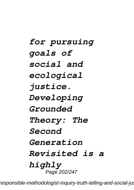# *for pursuing goals of social and ecological justice. Developing Grounded Theory: The Second Generation Revisited is a highly* Page 202/247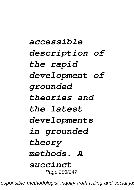*accessible description of the rapid development of grounded theories and the latest developments in grounded theory methods. A succinct* Page 203/247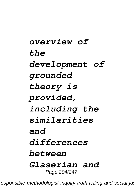# *overview of the development of grounded theory is provided, including the similarities and differences between Glaserian and* Page 204/247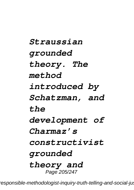*Straussian grounded theory. The method introduced by Schatzman, and the development of Charmaz's constructivist grounded theory and* Page 205/247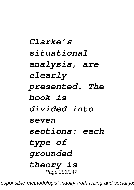*Clarke's situational analysis, are clearly presented. The book is divided into seven sections: each type of grounded theory is* Page 206/247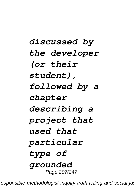# *discussed by the developer (or their student), followed by a chapter describing a project that used that particular type of grounded* Page 207/247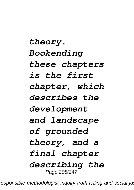*theory. Bookending these chapters is the first chapter, which describes the development and landscape of grounded theory, and a final chapter describing the* Page 208/247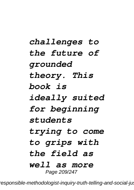# *challenges to the future of grounded theory. This book is ideally suited for beginning students trying to come to grips with the field as well as more* Page 209/247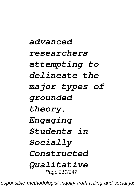*advanced researchers attempting to delineate the major types of grounded theory. Engaging Students in Socially Constructed Qualitative* Page 210/247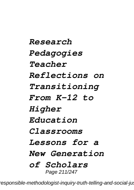*Research Pedagogies Teacher Reflections on Transitioning From K-12 to Higher Education Classrooms Lessons for a New Generation of Scholars* Page 211/247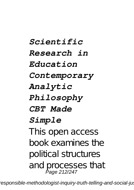*Scientific Research in Education Contemporary Analytic Philosophy CBT Made Simple* This open access book examines the political structures and processes that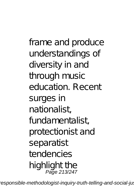frame and produce understandings of diversity in and through music education. Recent surges in nationalist, fundamentalist, protectionist and separatist tendencies highlight the Page 213/247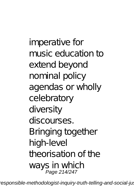imperative for music education to extend beyond nominal policy agendas or wholly celebratory diversity discourses. Bringing together high-level theorisation of the ways in which Page 214/247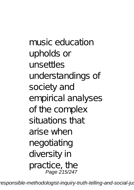music education upholds or unsettles understandings of society and empirical analyses of the complex situations that arise when negotiating diversity in practice, the Page 215/247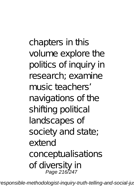chapters in this volume explore the politics of inquiry in research; examine music teachers' navigations of the shifting political landscapes of society and state; extend conceptualisations of diversity in Page 216/247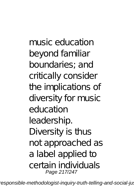music education beyond familiar boundaries; and critically consider the implications of diversity for music education leadership. Diversity is thus not approached as a label applied to certain individuals Page 217/247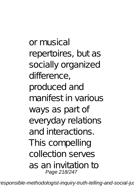or musical repertoires, but as socially organized difference, produced and manifest in various ways as part of everyday relations and interactions. This compelling collection serves as an invitation to Page 218/247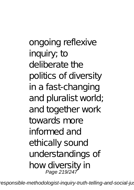ongoing reflexive inquiry; to deliberate the politics of diversity in a fast-changing and pluralist world; and together work towards more informed and ethically sound understandings of how diversity in Page 219/247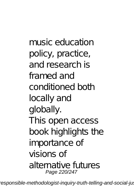music education policy, practice, and research is framed and conditioned both locally and globally. This open access book highlights the importance of visions of alternative futures Page 220/247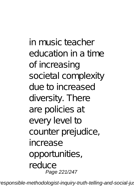in music teacher education in a time of increasing societal complexity due to increased diversity. There are policies at every level to counter prejudice, increase opportunities, reduce Page 221/247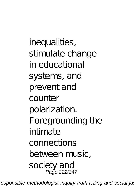inequalities, stimulate change in educational systems, and prevent and counter polarization. Foregrounding the intimate connections between music, society and Page 222/247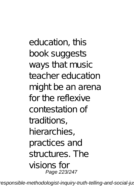education, this book suggests ways that music teacher education might be an arena for the reflexive contestation of traditions, hierarchies, practices and structures. The visions for Page 223/247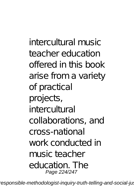intercultural music teacher education offered in this book arise from a variety of practical projects, intercultural collaborations, and cross-national work conducted in music teacher education. The Page 224/247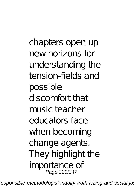chapters open up new horizons for understanding the tension-fields and possible discomfort that music teacher educators face when becoming change agents. They highlight the importance of Page 225/247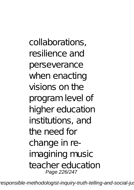collaborations, resilience and perseverance when enacting visions on the program level of higher education institutions, and the need for change in reimagining music teacher education Page 226/247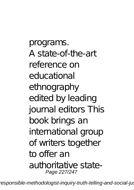programs. A state-of-the-art reference on educational ethnography edited by leading journal editors This book brings an international group of writers together to offer an authoritative state-Page 227/247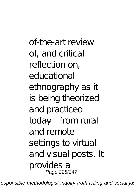of-the-art review of, and critical reflection on, educational ethnography as it is being theorized and practiced today—from rural and remote settings to virtual and visual posts. It provides a Page 228/247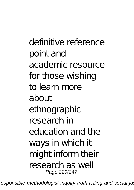definitive reference point and academic resource for those wishing to learn more about ethnographic research in education and the ways in which it might inform their research as well Page 229/247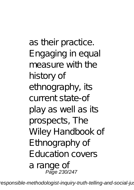as their practice. Engaging in equal measure with the history of ethnography, its current state-of play as well as its prospects, The Wiley Handbook of E thnography of Education covers a range of Page 230/247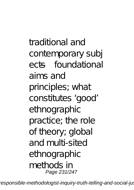traditional and contemporary subj ects—foundational aims and principles; what constitutes 'qood' ethnographic practice; the role of theory; global and multi-sited ethnographic methods in Page 231/247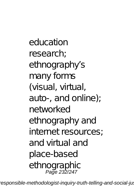education research; ethnography's many forms (visual, virtual, auto-, and online); networked ethnography and internet resources; and virtual and place-based ethnographic Page 232/247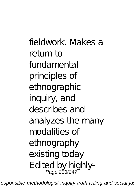fieldwork. Makes a return to fundamental principles of ethnographic inquiry, and describes and analyzes the many modalities of ethnography existing today Edited by highly-Page 233/247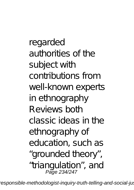regarded authorities of the subject with contributions from well-known experts in ethnography Reviews both classic ideas in the ethnography of education, such as

- grounded theory",
- " triangulation", and<br>Page 234/247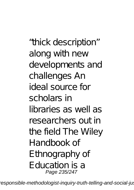thick description" along with new developments and challenges An ideal source for scholars in libraries as well as researchers out in the field The Wiley Handbook of E thnography of Education is a Page 235/247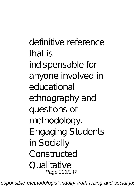definitive reference that is indispensable for anyone involved in educational ethnography and questions of methodology. Engaging Students in Socially Constructed Qualitative Page 236/247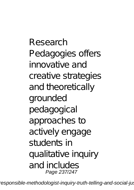Research Pedagogies offers innovative and creative strategies and theoretically grounded pedagogical approaches to actively engage students in qualitative inquiry and includes Page 237/247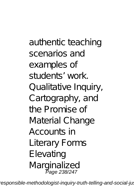authentic teaching scenarios and examples of students' work. Qualitative Inquiry, Cartography, and the Promise of Material Change Accounts in Literary Forms **Elevating** Marginalized Page 238/247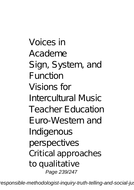Voices in Academe Sign, System, and Function Visions for Intercultural Music Teacher Education Euro-Western and Indigenous perspectives Critical approaches to qualitative Page 239/247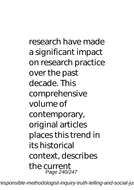research have made a significant impact on research practice over the past decade. This comprehensive volume of contemporary, original articles places this trend in its historical context, describes the current Page 240/247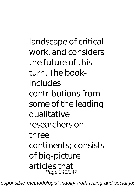landscape of critical work, and considers the future of this turn. The bookincludes contributions from some of the leading qualitative researchers on three continents;-consists of big-picture articles that Page 241/247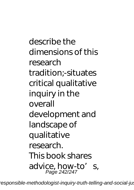describe the dimensions of this research tradition;-situates critical qualitative inquiry in the overall development and landscape of qualitative research. This book shares advice, how-to' s,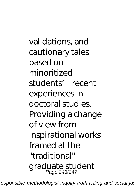validations, and cautionary tales based on minoritized students' recent experiences in doctoral studies. Providing a change of view from inspirational works framed at the "traditional" graduate student Page 243/247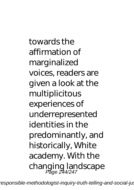towards the affirmation of marginalized voices, readers are given a look at the multiplicitous experiences of underrepresented identities in the predominantly, and historically, White academy. With the changing landscape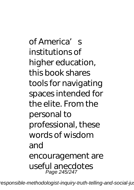of America's institutions of higher education. this book shares tools for navigating spaces intended for the elite. From the personal to professional, these words of wisdom and encouragement are useful anecdotes Page 245/247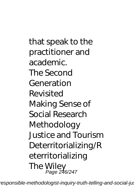that speak to the practitioner and academic. The Second Generation Revisited Making Sense of Social Research **Methodology** Justice and Tourism Deterritorializing/R eterritorializing The Wiley Page 246/247